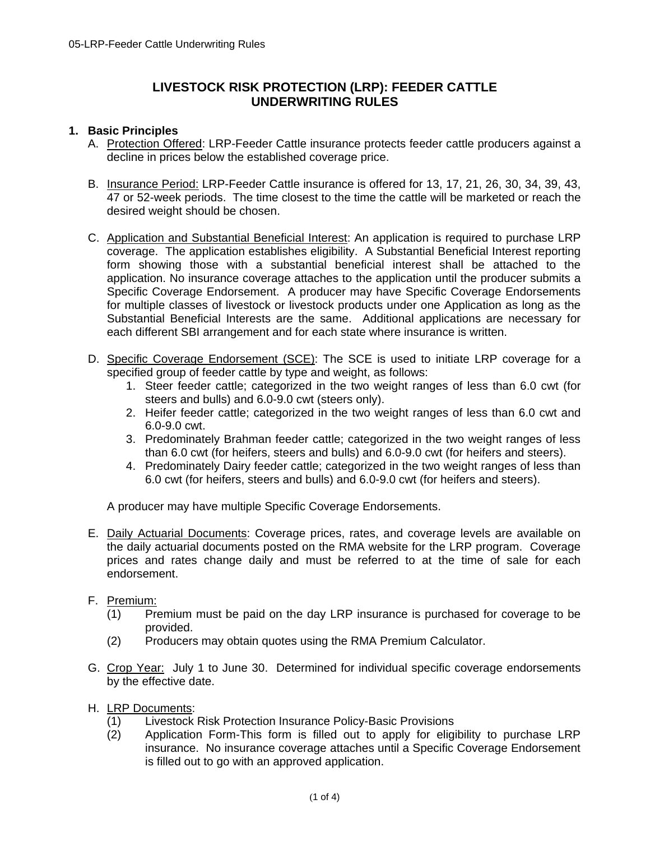# **LIVESTOCK RISK PROTECTION (LRP): FEEDER CATTLE UNDERWRITING RULES**

## **1. Basic Principles**

- A. Protection Offered: LRP-Feeder Cattle insurance protects feeder cattle producers against a decline in prices below the established coverage price.
- 47 or 52-week periods. The time closest to the time the cattle will be marketed or reach the B. Insurance Period: LRP-Feeder Cattle insurance is offered for 13, 17, 21, 26, 30, 34, 39, 43, desired weight should be chosen.
- C. Application and Substantial Beneficial Interest: An application is required to purchase LRP coverage. The application establishes eligibility. A Substantial Beneficial Interest reporting form showing those with a substantial beneficial interest shall be attached to the application. No insurance coverage attaches to the application until the producer submits a Specific Coverage Endorsement. A producer may have Specific Coverage Endorsements for multiple classes of livestock or livestock products under one Application as long as the Substantial Beneficial Interests are the same. Additional applications are necessary for each different SBI arrangement and for each state where insurance is written.
- D. Specific Coverage Endorsement (SCE): The SCE is used to initiate LRP coverage for a specified group of feeder cattle by type and weight, as follows:
	- 1. Steer feeder cattle; categorized in the two weight ranges of less than 6.0 cwt (for steers and bulls) and 6.0-9.0 cwt (steers only).
	- 2. Heifer feeder cattle; categorized in the two weight ranges of less than 6.0 cwt and 6.0-9.0 cwt.
	- 3. Predominately Brahman feeder cattle; categorized in the two weight ranges of less than 6.0 cwt (for heifers, steers and bulls) and 6.0-9.0 cwt (for heifers and steers).
	- 4. Predominately Dairy feeder cattle; categorized in the two weight ranges of less than 6.0 cwt (for heifers, steers and bulls) and 6.0-9.0 cwt (for heifers and steers).

A producer may have multiple Specific Coverage Endorsements.

E. Daily Actuarial Documents: Coverage prices, rates, and coverage levels are available on the daily actuarial documents posted on the RMA website for the LRP program. Coverage prices and rates change daily and must be referred to at the time of sale for each endorsement.

#### F. Premium:

- F. Premium: (1) Premium must be paid on the day LRP insurance is purchased for coverage to be provided.
- (2) Producers may obtain quotes using the RMA Premium Calculator.
- G. Crop Year: July 1 to June 30. Determined for individual specific coverage endorsements by the effective date.
- H. LRP Documents:
	- (1) Livestock Risk Protection Insurance Policy-Basic Provisions
	- (2) Application Form-This form is filled out to apply for eligibility to purchase LRP insurance. No insurance coverage attaches until a Specific Coverage Endorsement is filled out to go with an approved application.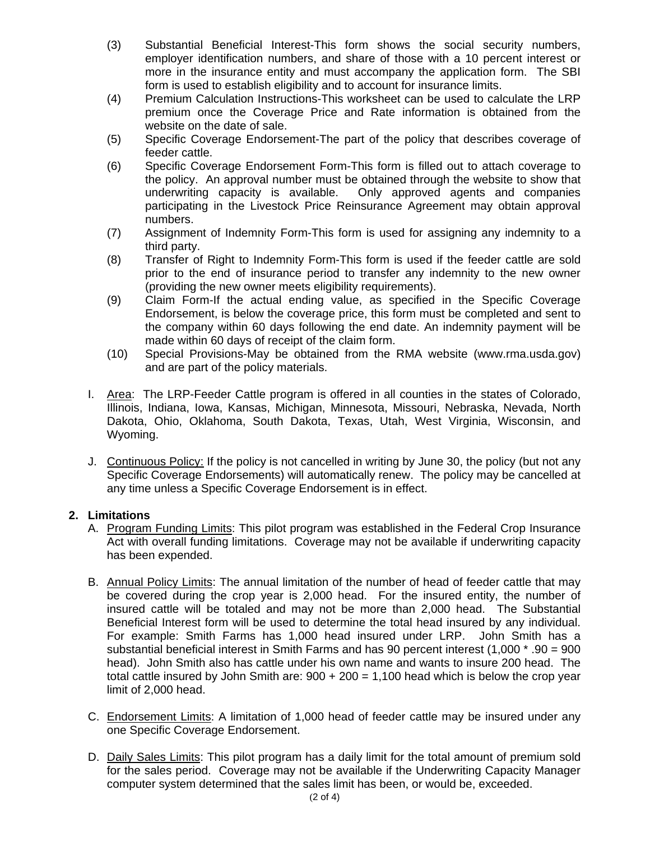- (3) Substantial Beneficial Interest-This form shows the social security numbers, employer identification numbers, and share of those with a 10 percent interest or more in the insurance entity and must accompany the application form. The SBI form is used to establish eligibility and to account for insurance limits.
- (4) Premium Calculation Instructions-This worksheet can be used to calculate the LRP premium once the Coverage Price and Rate information is obtained from the website on the date of sale.
- (5) Specific Coverage Endorsement-The part of the policy that describes coverage of feeder cattle.
- (6) Specific Coverage Endorsement Form-This form is filled out to attach coverage to the policy. An approval number must be obtained through the website to show that underwriting capacity is available. Only approved agents and companies participating in the Livestock Price Reinsurance Agreement may obtain approval numbers.
- (7) Assignment of Indemnity Form-This form is used for assigning any indemnity to a third party.
- (8) Transfer of Right to Indemnity Form-This form is used if the feeder cattle are sold prior to the end of insurance period to transfer any indemnity to the new owner (providing the new owner meets eligibility requirements).
- (9) Claim Form-If the actual ending value, as specified in the Specific Coverage Endorsement, is below the coverage price, this form must be completed and sent to the company within 60 days following the end date. An indemnity payment will be made within 60 days of receipt of the claim form.
- (10) Special Provisions-May be obtained from the RMA website (www.rma.usda.gov) and are part of the policy materials.
- I. Area: The LRP-Feeder Cattle program is offered in all counties in the states of Colorado, Illinois, Indiana, Iowa, Kansas, Michigan, Minnesota, Missouri, Nebraska, Nevada, North Dakota, Ohio, Oklahoma, South Dakota, Texas, Utah, West Virginia, Wisconsin, and Wyoming.
- J. Continuous Policy: If the policy is not cancelled in writing by June 30, the policy (but not any Specific Coverage Endorsements) will automatically renew. The policy may be cancelled at any time unless a Specific Coverage Endorsement is in effect.

#### **2. Limitations**

- A. Program Funding Limits: This pilot program was established in the Federal Crop Insurance Act with overall funding limitations. Coverage may not be available if underwriting capacity has been expended.
- B. Annual Policy Limits: The annual limitation of the number of head of feeder cattle that may be covered during the crop year is 2,000 head. For the insured entity, the number of insured cattle will be totaled and may not be more than 2,000 head. The Substantial Beneficial Interest form will be used to determine the total head insured by any individual. For example: Smith Farms has 1,000 head insured under LRP. John Smith has a substantial beneficial interest in Smith Farms and has 90 percent interest (1,000 \* .90 = 900 head). John Smith also has cattle under his own name and wants to insure 200 head. The total cattle insured by John Smith are:  $900 + 200 = 1,100$  head which is below the crop year limit of 2,000 head.
- C. Endorsement Limits: A limitation of 1,000 head of feeder cattle may be insured under any one Specific Coverage Endorsement.
- D. Daily Sales Limits: This pilot program has a daily limit for the total amount of premium sold for the sales period. Coverage may not be available if the Underwriting Capacity Manager computer system determined that the sales limit has been, or would be, exceeded.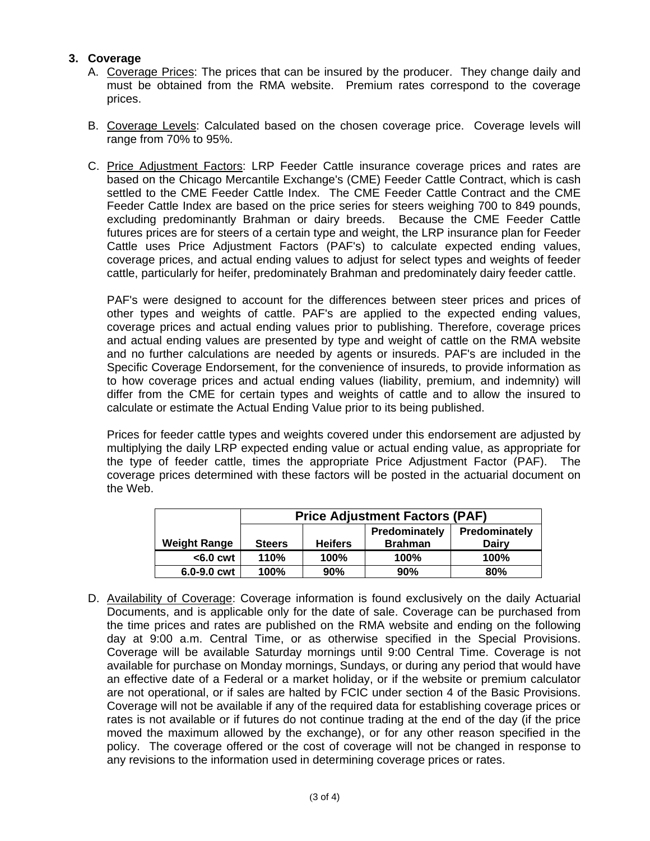## **3. Coverage**

- A. Coverage Prices: The prices that can be insured by the producer. They change daily and must be obtained from the RMA website. Premium rates correspond to the coverage prices.
- B. Coverage Levels: Calculated based on the chosen coverage price. Coverage levels will range from 70% to 95%.
- Feeder Cattle Index are based on the price series for steers weighing 700 to 849 pounds, C. Price Adjustment Factors: LRP Feeder Cattle insurance coverage prices and rates are based on the Chicago Mercantile Exchange's (CME) Feeder Cattle Contract, which is cash settled to the CME Feeder Cattle Index. The CME Feeder Cattle Contract and the CME excluding predominantly Brahman or dairy breeds. Because the CME Feeder Cattle futures prices are for steers of a certain type and weight, the LRP insurance plan for Feeder Cattle uses Price Adjustment Factors (PAF's) to calculate expected ending values, coverage prices, and actual ending values to adjust for select types and weights of feeder cattle, particularly for heifer, predominately Brahman and predominately dairy feeder cattle.

calculate or estimate the Actual Ending Value prior to its being published. PAF's were designed to account for the differences between steer prices and prices of other types and weights of cattle. PAF's are applied to the expected ending values, coverage prices and actual ending values prior to publishing. Therefore, coverage prices and actual ending values are presented by type and weight of cattle on the RMA website and no further calculations are needed by agents or insureds. PAF's are included in the Specific Coverage Endorsement, for the convenience of insureds, to provide information as to how coverage prices and actual ending values (liability, premium, and indemnity) will differ from the CME for certain types and weights of cattle and to allow the insured to

Prices for feeder cattle types and weights covered under this endorsement are adjusted by multiplying the daily LRP expected ending value or actual ending value, as appropriate for the type of feeder cattle, times the appropriate Price Adjustment Factor (PAF). The coverage prices determined with these factors will be posted in the actuarial document on the Web.

|                     | <b>Price Adjustment Factors (PAF)</b> |                |                                 |                               |
|---------------------|---------------------------------------|----------------|---------------------------------|-------------------------------|
| <b>Weight Range</b> | <b>Steers</b>                         | <b>Heifers</b> | Predominately<br><b>Brahman</b> | Predominately<br><b>Dairy</b> |
| $<$ 6.0 cwt         | 110%                                  | 100%           | 100%                            | 100%                          |
| 6.0-9.0 cwt         | 100%                                  | 90%            | 90%                             | 80%                           |

D. Availability of Coverage: Coverage information is found exclusively on the daily Actuarial Documents, and is applicable only for the date of sale. Coverage can be purchased from the time prices and rates are published on the RMA website and ending on the following day at 9:00 a.m. Central Time, or as otherwise specified in the Special Provisions. Coverage will be available Saturday mornings until 9:00 Central Time. Coverage is not available for purchase on Monday mornings, Sundays, or during any period that would have an effective date of a Federal or a market holiday, or if the website or premium calculator are not operational, or if sales are halted by FCIC under section 4 of the Basic Provisions. Coverage will not be available if any of the required data for establishing coverage prices or rates is not available or if futures do not continue trading at the end of the day (if the price moved the maximum allowed by the exchange), or for any other reason specified in the policy. The coverage offered or the cost of coverage will not be changed in response to any revisions to the information used in determining coverage prices or rates.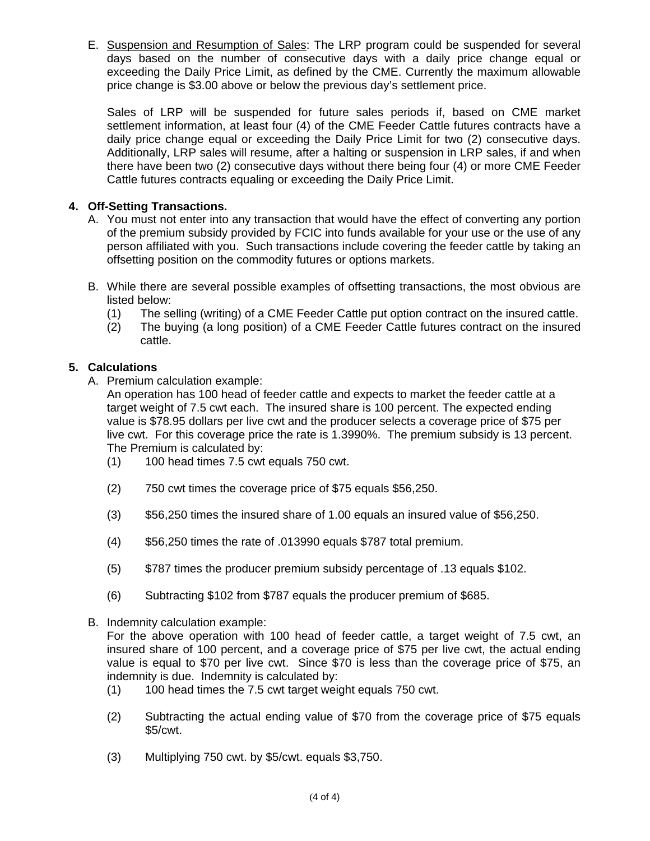E. Suspension and Resumption of Sales: The LRP program could be suspended for several days based on the number of consecutive days with a daily price change equal or exceeding the Daily Price Limit, as defined by the CME. Currently the maximum allowable price change is \$3.00 above or below the previous day's settlement price.

daily price change equal or exceeding the Daily Price Limit for two (2) consecutive days. Sales of LRP will be suspended for future sales periods if, based on CME market settlement information, at least four (4) of the CME Feeder Cattle futures contracts have a Additionally, LRP sales will resume, after a halting or suspension in LRP sales, if and when there have been two (2) consecutive days without there being four (4) or more CME Feeder Cattle futures contracts equaling or exceeding the Daily Price Limit.

## **4. Off-Setting Transactions.**

- A. You must not enter into any transaction that would have the effect of converting any portion of the premium subsidy provided by FCIC into funds available for your use or the use of any person affiliated with you. Such transactions include covering the feeder cattle by taking an offsetting position on the commodity futures or options markets.
- B. While there are several possible examples of offsetting transactions, the most obvious are listed below:
	- (1) The selling (writing) of a CME Feeder Cattle put option contract on the insured cattle.
	- (2) The buying (a long position) of a CME Feeder Cattle futures contract on the insured cattle.

# **5. Calculations**

A. Premium calculation example:

An operation has 100 head of feeder cattle and expects to market the feeder cattle at a target weight of 7.5 cwt each. The insured share is 100 percent. The expected ending value is \$78.95 dollars per live cwt and the producer selects a coverage price of \$75 per live cwt. For this coverage price the rate is 1.3990%. The premium subsidy is 13 percent. The Premium is calculated by:

- (1) 100 head times 7.5 cwt equals 750 cwt.
- (2) 750 cwt times the coverage price of \$75 equals \$56,250.
- (3) \$56,250 times the insured share of 1.00 equals an insured value of \$56,250.
- (4) \$56,250 times the rate of .013990 equals \$787 total premium.
- (5) \$787 times the producer premium subsidy percentage of .13 equals \$102.
- (6) Subtracting \$102 from \$787 equals the producer premium of \$685.
- B. Indemnity calculation example:

For the above operation with 100 head of feeder cattle, a target weight of 7.5 cwt, an insured share of 100 percent, and a coverage price of \$75 per live cwt, the actual ending value is equal to \$70 per live cwt. Since \$70 is less than the coverage price of \$75, an indemnity is due. Indemnity is calculated by:

- (1) 100 head times the 7.5 cwt target weight equals 750 cwt.
- (2) Subtracting the actual ending value of \$70 from the coverage price of \$75 equals \$5/cwt.
- (3) Multiplying 750 cwt. by \$5/cwt. equals \$3,750.